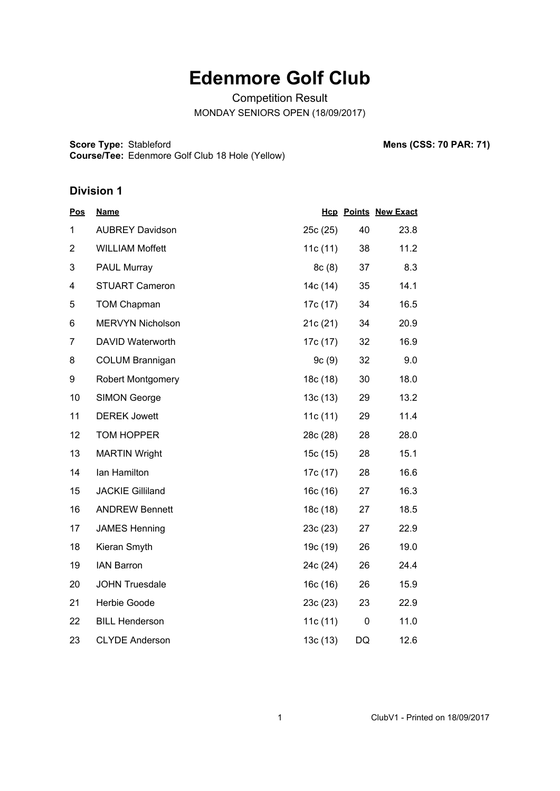## **Edenmore Golf Club**

Competition Result MONDAY SENIORS OPEN (18/09/2017)

**Score Type: Course/Tee:** Stableford **Mens (CSS: 70 PAR: 71)** Edenmore Golf Club 18 Hole (Yellow)

## **Division 1**

| <b>Pos</b>     | <b>Name</b>              |          |    | <b>Hcp Points New Exact</b> |
|----------------|--------------------------|----------|----|-----------------------------|
| 1              | <b>AUBREY Davidson</b>   | 25c (25) | 40 | 23.8                        |
| $\overline{2}$ | <b>WILLIAM Moffett</b>   | 11c(11)  | 38 | 11.2                        |
| 3              | PAUL Murray              | 8c(8)    | 37 | 8.3                         |
| 4              | <b>STUART Cameron</b>    | 14c (14) | 35 | 14.1                        |
| 5              | <b>TOM Chapman</b>       | 17c (17) | 34 | 16.5                        |
| 6              | <b>MERVYN Nicholson</b>  | 21c(21)  | 34 | 20.9                        |
| $\overline{7}$ | DAVID Waterworth         | 17c (17) | 32 | 16.9                        |
| 8              | <b>COLUM Brannigan</b>   | 9c(9)    | 32 | 9.0                         |
| 9              | <b>Robert Montgomery</b> | 18c (18) | 30 | 18.0                        |
| 10             | <b>SIMON George</b>      | 13c(13)  | 29 | 13.2                        |
| 11             | <b>DEREK Jowett</b>      | 11c(11)  | 29 | 11.4                        |
| 12             | TOM HOPPER               | 28c (28) | 28 | 28.0                        |
| 13             | <b>MARTIN Wright</b>     | 15c(15)  | 28 | 15.1                        |
| 14             | Ian Hamilton             | 17c (17) | 28 | 16.6                        |
| 15             | <b>JACKIE Gilliland</b>  | 16c(16)  | 27 | 16.3                        |
| 16             | <b>ANDREW Bennett</b>    | 18c (18) | 27 | 18.5                        |
| 17             | <b>JAMES Henning</b>     | 23c(23)  | 27 | 22.9                        |
| 18             | Kieran Smyth             | 19c (19) | 26 | 19.0                        |
| 19             | <b>IAN Barron</b>        | 24c (24) | 26 | 24.4                        |
| 20             | <b>JOHN Truesdale</b>    | 16c(16)  | 26 | 15.9                        |
| 21             | Herbie Goode             | 23c(23)  | 23 | 22.9                        |
| 22             | <b>BILL Henderson</b>    | 11c(11)  | 0  | 11.0                        |
| 23             | <b>CLYDE Anderson</b>    | 13c (13) | DQ | 12.6                        |